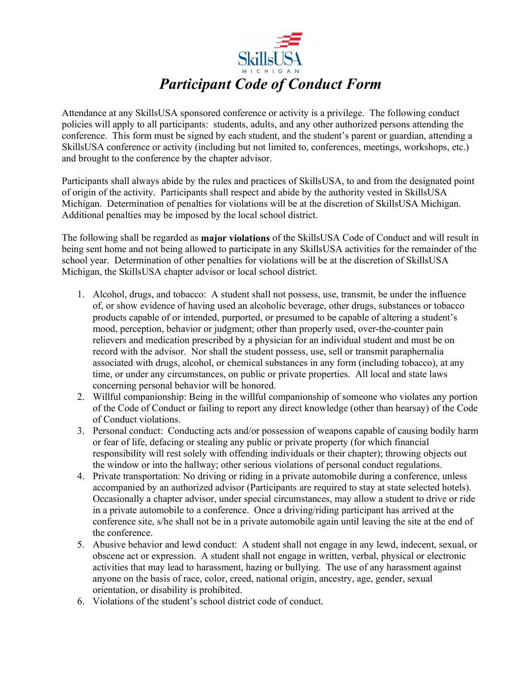

Attendance at any SkillsUSA sponsored conference or activity is a privilege. The following conduct policies will apply to all participants: students, adults, and any other authorized persons attending the conference. This form must be signed by each student, and the student's parent or guardian, attending a SkillsUSA conference or activity (including but not limited to, conferences, meetings, workshops, etc.) and brought to the conference by the chapter advisor.

Participants shall always abide by the rules and practices of SkillsUSA, to and from the designated point of origin of the activity. Participants shall respect and abide by the authority vested in SkillsUSA Michigan. Determination of penalties for violations will be at the discretion of SkillsUSA Michigan. Additional penalties may be imposed by the local school district.

The following shall be regarded as **major violations** of the SkillsUSA Code of Conduct and will result in being sent home and not being allowed to participate in any SkillsUSA activities for the remainder of the school year. Determination of other penalties for violations will be at the discretion of SkillsUSA Michigan, the SkillsUSA chapter advisor or local school district.

- 1. Alcohol, drugs, and tobacco: A student shall not possess, use, transmit, be under the influence of, or show evidence of having used an alcoholic beverage, other drugs, substances or tobacco products capable of or intended, purported, or presumed to be capable of altering a student's mood, perception, behavior or judgment; other than properly used, over-the-counter pain relievers and medication prescribed by a physician for an individual student and must be on record with the advisor. Nor shall the student possess, use, sell or transmit paraphernalia associated with drugs, alcohol, or chemical substances in any form (including tobacco), at any time, or under any circumstances, on public or private properties. All local and state laws concerning personal behavior will be honored.
- 2. Willful companionship: Being in the willful companionship of someone who violates any portion of the Code of Conduct or failing to report any direct knowledge (other than hearsay) of the Code of Conduct violations.
- 3. Personal conduct: Conducting acts and/or possession of weapons capable of causing bodily harm or fear of life, defacing or stealing any public or private property (for which financial responsibility will rest solely with offending individuals or their chapter); throwing objects out the window or into the hallway; other serious violations of personal conduct regulations.
- 4. Private transportation: No driving or riding in a private automobile during a conference, unless accompanied by an authorized advisor (Participants are required to stay at state selected hotels). Occasionally a chapter advisor, under special circumstances, may allow a student to drive or ride in a private automobile to a conference. Once a driving/riding participant has arrived at the conference site, s/he shall not be in a private automobile again until leaving the site at the end of the conference.
- 5. Abusive behavior and lewd conduct: A student shall not engage in any lewd, indecent, sexual, or obscene act or expression. A student shall not engage in written, verbal, physical or electronic activities that may lead to harassment, hazing or bullying. The use of any harassment against anyone on the basis of race, color, creed, national origin, ancestry, age, gender, sexual orientation, or disability is prohibited.
- 6. Violations of the student's school district code of conduct.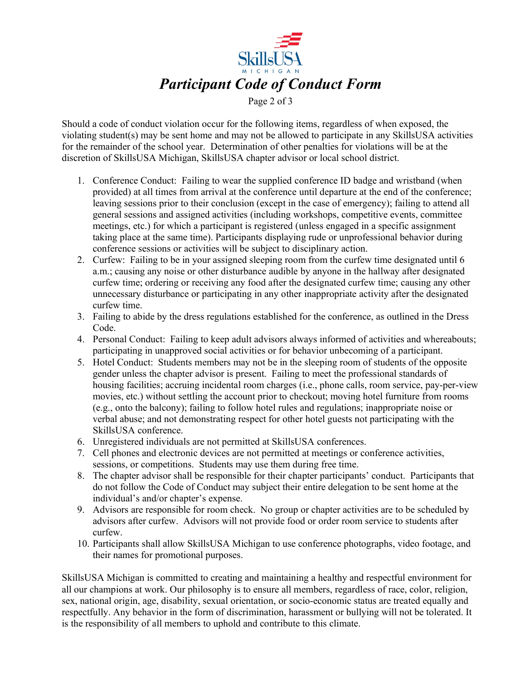

Should a code of conduct violation occur for the following items, regardless of when exposed, the violating student(s) may be sent home and may not be allowed to participate in any SkillsUSA activities for the remainder of the school year. Determination of other penalties for violations will be at the discretion of SkillsUSA Michigan, SkillsUSA chapter advisor or local school district.

- 1. Conference Conduct: Failing to wear the supplied conference ID badge and wristband (when provided) at all times from arrival at the conference until departure at the end of the conference; leaving sessions prior to their conclusion (except in the case of emergency); failing to attend all general sessions and assigned activities (including workshops, competitive events, committee meetings, etc.) for which a participant is registered (unless engaged in a specific assignment taking place at the same time). Participants displaying rude or unprofessional behavior during conference sessions or activities will be subject to disciplinary action.
- 2. Curfew: Failing to be in your assigned sleeping room from the curfew time designated until 6 a.m.; causing any noise or other disturbance audible by anyone in the hallway after designated curfew time; ordering or receiving any food after the designated curfew time; causing any other unnecessary disturbance or participating in any other inappropriate activity after the designated curfew time.
- 3. Failing to abide by the dress regulations established for the conference, as outlined in the Dress Code.
- 4. Personal Conduct: Failing to keep adult advisors always informed of activities and whereabouts; participating in unapproved social activities or for behavior unbecoming of a participant.
- 5. Hotel Conduct: Students members may not be in the sleeping room of students of the opposite gender unless the chapter advisor is present. Failing to meet the professional standards of housing facilities; accruing incidental room charges (i.e., phone calls, room service, pay-per-view movies, etc.) without settling the account prior to checkout; moving hotel furniture from rooms (e.g., onto the balcony); failing to follow hotel rules and regulations; inappropriate noise or verbal abuse; and not demonstrating respect for other hotel guests not participating with the SkillsUSA conference.
- 6. Unregistered individuals are not permitted at SkillsUSA conferences.
- 7. Cell phones and electronic devices are not permitted at meetings or conference activities, sessions, or competitions. Students may use them during free time.
- 8. The chapter advisor shall be responsible for their chapter participants' conduct. Participants that do not follow the Code of Conduct may subject their entire delegation to be sent home at the individual's and/or chapter's expense.
- 9. Advisors are responsible for room check. No group or chapter activities are to be scheduled by advisors after curfew. Advisors will not provide food or order room service to students after curfew.
- 10. Participants shall allow SkillsUSA Michigan to use conference photographs, video footage, and their names for promotional purposes.

SkillsUSA Michigan is committed to creating and maintaining a healthy and respectful environment for all our champions at work. Our philosophy is to ensure all members, regardless of race, color, religion, sex, national origin, age, disability, sexual orientation, or socio-economic status are treated equally and respectfully. Any behavior in the form of discrimination, harassment or bullying will not be tolerated. It is the responsibility of all members to uphold and contribute to this climate.